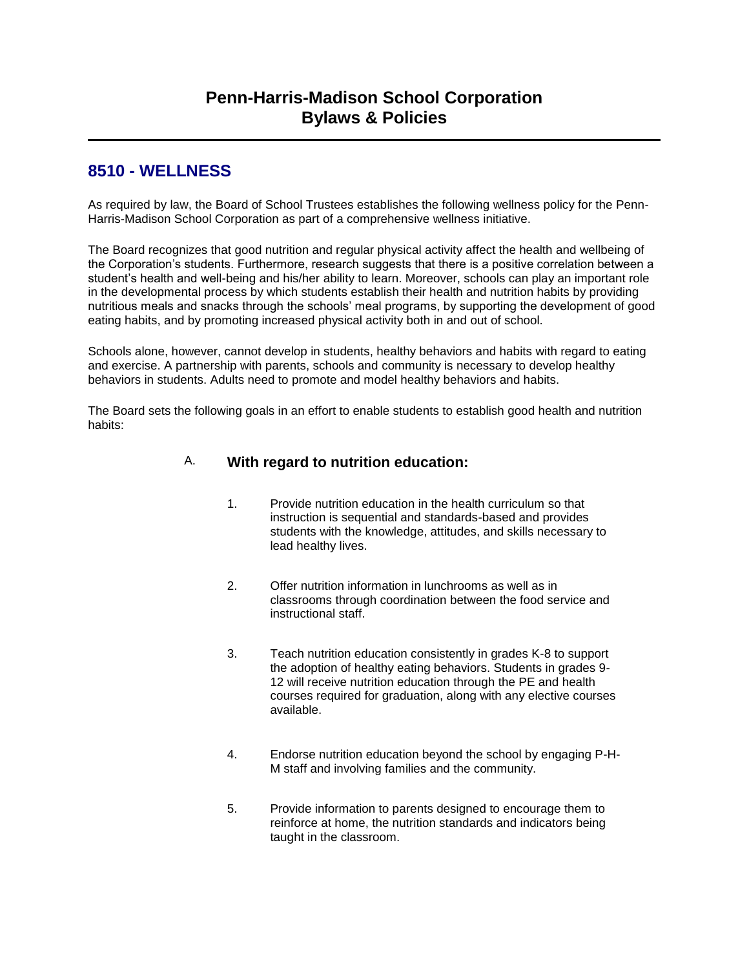# **8510 - WELLNESS**

As required by law, the Board of School Trustees establishes the following wellness policy for the Penn-Harris-Madison School Corporation as part of a comprehensive wellness initiative.

The Board recognizes that good nutrition and regular physical activity affect the health and wellbeing of the Corporation's students. Furthermore, research suggests that there is a positive correlation between a student's health and well-being and his/her ability to learn. Moreover, schools can play an important role in the developmental process by which students establish their health and nutrition habits by providing nutritious meals and snacks through the schools' meal programs, by supporting the development of good eating habits, and by promoting increased physical activity both in and out of school.

Schools alone, however, cannot develop in students, healthy behaviors and habits with regard to eating and exercise. A partnership with parents, schools and community is necessary to develop healthy behaviors in students. Adults need to promote and model healthy behaviors and habits.

The Board sets the following goals in an effort to enable students to establish good health and nutrition habits:

# A. **With regard to nutrition education:**

- 1. Provide nutrition education in the health curriculum so that instruction is sequential and standards-based and provides students with the knowledge, attitudes, and skills necessary to lead healthy lives.
- 2. Offer nutrition information in lunchrooms as well as in classrooms through coordination between the food service and instructional staff.
- 3. Teach nutrition education consistently in grades K-8 to support the adoption of healthy eating behaviors. Students in grades 9- 12 will receive nutrition education through the PE and health courses required for graduation, along with any elective courses available.
- 4. Endorse nutrition education beyond the school by engaging P-H-M staff and involving families and the community.
- 5. Provide information to parents designed to encourage them to reinforce at home, the nutrition standards and indicators being taught in the classroom.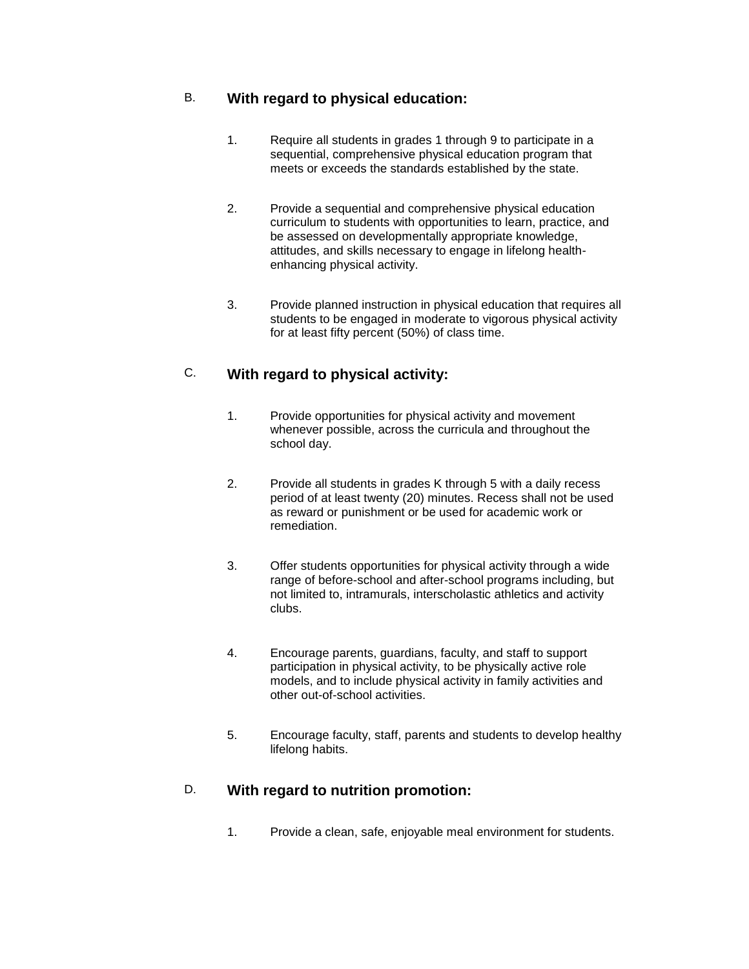# B. **With regard to physical education:**

- 1. Require all students in grades 1 through 9 to participate in a sequential, comprehensive physical education program that meets or exceeds the standards established by the state.
- 2. Provide a sequential and comprehensive physical education curriculum to students with opportunities to learn, practice, and be assessed on developmentally appropriate knowledge, attitudes, and skills necessary to engage in lifelong healthenhancing physical activity.
- 3. Provide planned instruction in physical education that requires all students to be engaged in moderate to vigorous physical activity for at least fifty percent (50%) of class time.

# C. **With regard to physical activity:**

- 1. Provide opportunities for physical activity and movement whenever possible, across the curricula and throughout the school day.
- 2. Provide all students in grades K through 5 with a daily recess period of at least twenty (20) minutes. Recess shall not be used as reward or punishment or be used for academic work or remediation.
- 3. Offer students opportunities for physical activity through a wide range of before-school and after-school programs including, but not limited to, intramurals, interscholastic athletics and activity clubs.
- 4. Encourage parents, guardians, faculty, and staff to support participation in physical activity, to be physically active role models, and to include physical activity in family activities and other out-of-school activities.
- 5. Encourage faculty, staff, parents and students to develop healthy lifelong habits.

## D. **With regard to nutrition promotion:**

1. Provide a clean, safe, enjoyable meal environment for students.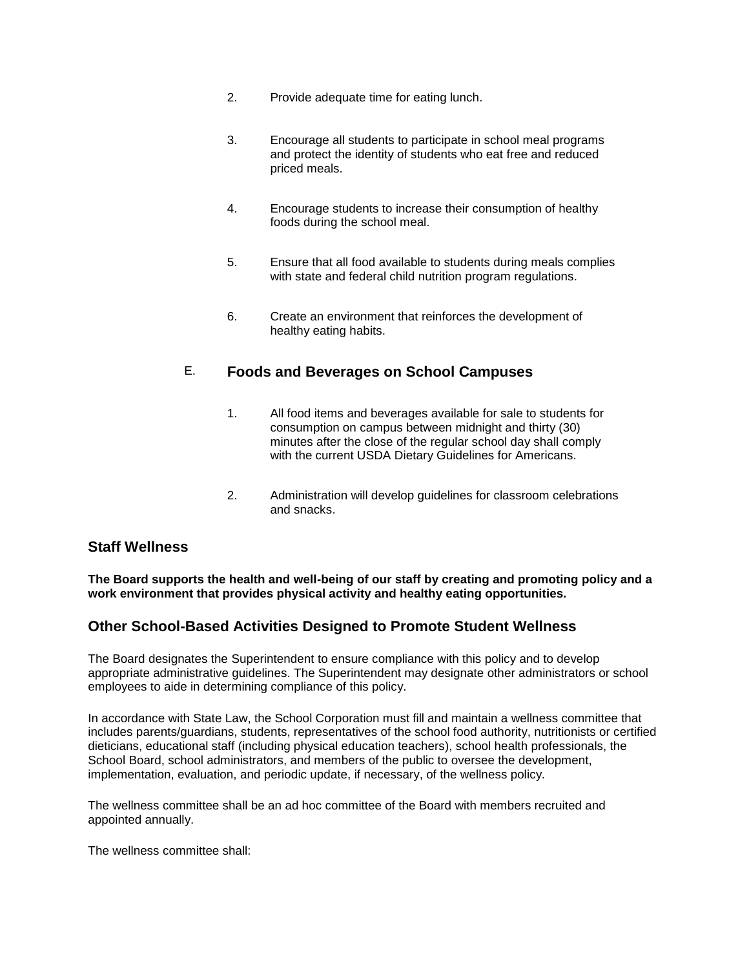- 2. Provide adequate time for eating lunch.
- 3. Encourage all students to participate in school meal programs and protect the identity of students who eat free and reduced priced meals.
- 4. Encourage students to increase their consumption of healthy foods during the school meal.
- 5. Ensure that all food available to students during meals complies with state and federal child nutrition program regulations.
- 6. Create an environment that reinforces the development of healthy eating habits.

## E. **Foods and Beverages on School Campuses**

- 1. All food items and beverages available for sale to students for consumption on campus between midnight and thirty (30) minutes after the close of the regular school day shall comply with the current USDA Dietary Guidelines for Americans.
- 2. Administration will develop guidelines for classroom celebrations and snacks.

#### **Staff Wellness**

**The Board supports the health and well-being of our staff by creating and promoting policy and a work environment that provides physical activity and healthy eating opportunities.**

#### **Other School-Based Activities Designed to Promote Student Wellness**

The Board designates the Superintendent to ensure compliance with this policy and to develop appropriate administrative guidelines. The Superintendent may designate other administrators or school employees to aide in determining compliance of this policy.

In accordance with State Law, the School Corporation must fill and maintain a wellness committee that includes parents/guardians, students, representatives of the school food authority, nutritionists or certified dieticians, educational staff (including physical education teachers), school health professionals, the School Board, school administrators, and members of the public to oversee the development, implementation, evaluation, and periodic update, if necessary, of the wellness policy.

The wellness committee shall be an ad hoc committee of the Board with members recruited and appointed annually.

The wellness committee shall: